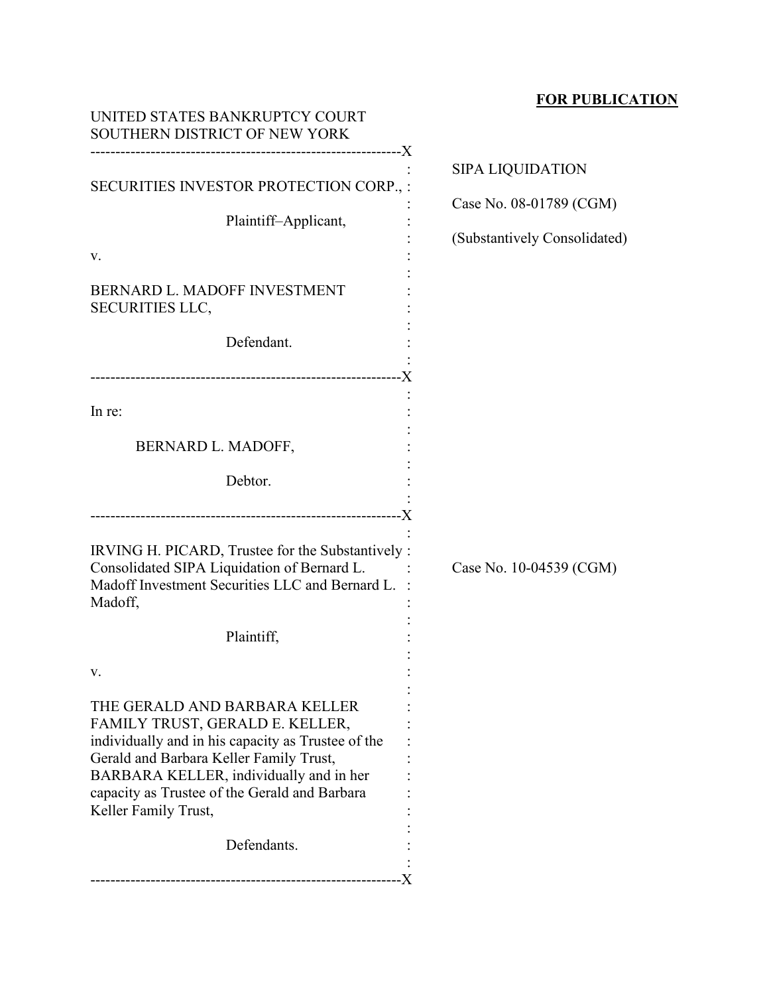# **FOR PUBLICATION**

| UNITED STATES BANKRUPTCY COURT<br>SOUTHERN DISTRICT OF NEW YORK                                                                                                                                                                                                                       |                              |
|---------------------------------------------------------------------------------------------------------------------------------------------------------------------------------------------------------------------------------------------------------------------------------------|------------------------------|
|                                                                                                                                                                                                                                                                                       | <b>SIPA LIQUIDATION</b>      |
| SECURITIES INVESTOR PROTECTION CORP., :                                                                                                                                                                                                                                               | Case No. 08-01789 (CGM)      |
| Plaintiff-Applicant,                                                                                                                                                                                                                                                                  | (Substantively Consolidated) |
| v.                                                                                                                                                                                                                                                                                    |                              |
| BERNARD L. MADOFF INVESTMENT<br><b>SECURITIES LLC,</b>                                                                                                                                                                                                                                |                              |
| Defendant.                                                                                                                                                                                                                                                                            |                              |
| In re:                                                                                                                                                                                                                                                                                |                              |
| BERNARD L. MADOFF,                                                                                                                                                                                                                                                                    |                              |
| Debtor.                                                                                                                                                                                                                                                                               |                              |
| IRVING H. PICARD, Trustee for the Substantively :<br>Consolidated SIPA Liquidation of Bernard L.<br>Madoff Investment Securities LLC and Bernard L.<br>Madoff,<br>Plaintiff,                                                                                                          | Case No. 10-04539 (CGM)      |
| v.                                                                                                                                                                                                                                                                                    |                              |
| THE GERALD AND BARBARA KELLER<br>FAMILY TRUST, GERALD E. KELLER,<br>individually and in his capacity as Trustee of the<br>Gerald and Barbara Keller Family Trust,<br>BARBARA KELLER, individually and in her<br>capacity as Trustee of the Gerald and Barbara<br>Keller Family Trust, |                              |
| Defendants.                                                                                                                                                                                                                                                                           |                              |
|                                                                                                                                                                                                                                                                                       |                              |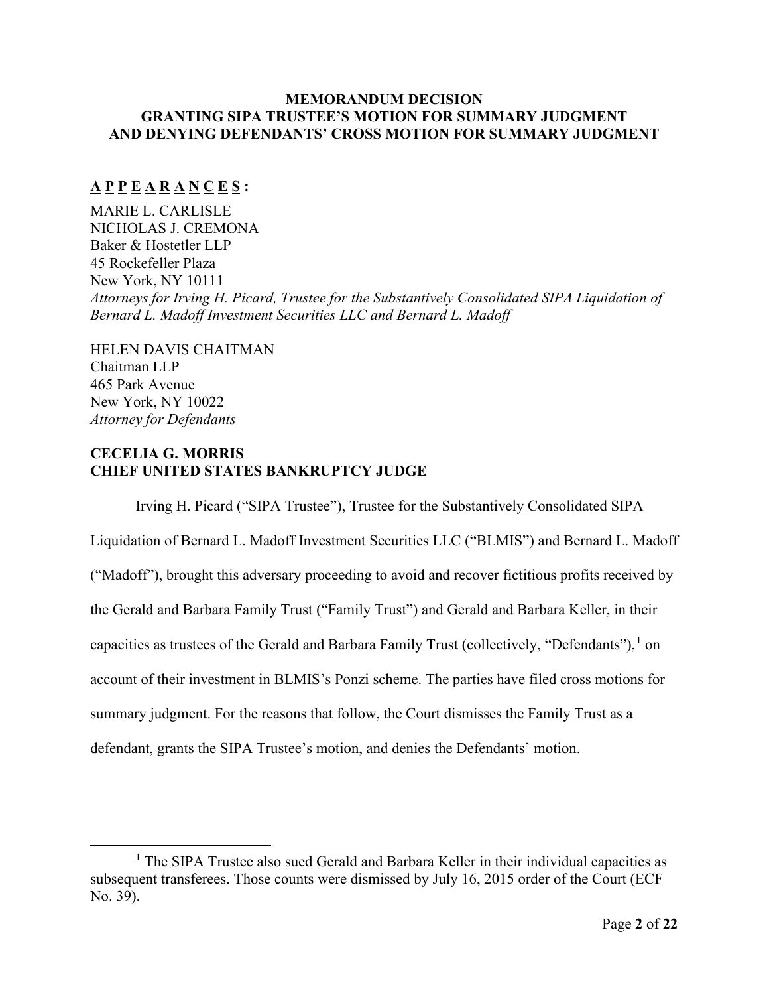# **MEMORANDUM DECISION GRANTING SIPA TRUSTEE'S MOTION FOR SUMMARY JUDGMENT AND DENYING DEFENDANTS' CROSS MOTION FOR SUMMARY JUDGMENT**

# **A P P E A R A N C E S :**

MARIE L. CARLISLE NICHOLAS J. CREMONA Baker & Hostetler LLP 45 Rockefeller Plaza New York, NY 10111 *Attorneys for Irving H. Picard, Trustee for the Substantively Consolidated SIPA Liquidation of Bernard L. Madoff Investment Securities LLC and Bernard L. Madoff*

HELEN DAVIS CHAITMAN Chaitman LLP 465 Park Avenue New York, NY 10022 *Attorney for Defendants*

# **CECELIA G. MORRIS CHIEF UNITED STATES BANKRUPTCY JUDGE**

Irving H. Picard ("SIPA Trustee"), Trustee for the Substantively Consolidated SIPA Liquidation of Bernard L. Madoff Investment Securities LLC ("BLMIS") and Bernard L. Madoff ("Madoff"), brought this adversary proceeding to avoid and recover fictitious profits received by the Gerald and Barbara Family Trust ("Family Trust") and Gerald and Barbara Keller, in their capacities as trustees of the Gerald and Barbara Family Trust (collectively, "Defendants"),  $^1$  $^1$  on account of their investment in BLMIS's Ponzi scheme. The parties have filed cross motions for summary judgment. For the reasons that follow, the Court dismisses the Family Trust as a defendant, grants the SIPA Trustee's motion, and denies the Defendants' motion.

<span id="page-1-0"></span><sup>&</sup>lt;sup>1</sup> The SIPA Trustee also sued Gerald and Barbara Keller in their individual capacities as subsequent transferees. Those counts were dismissed by July 16, 2015 order of the Court (ECF No. 39).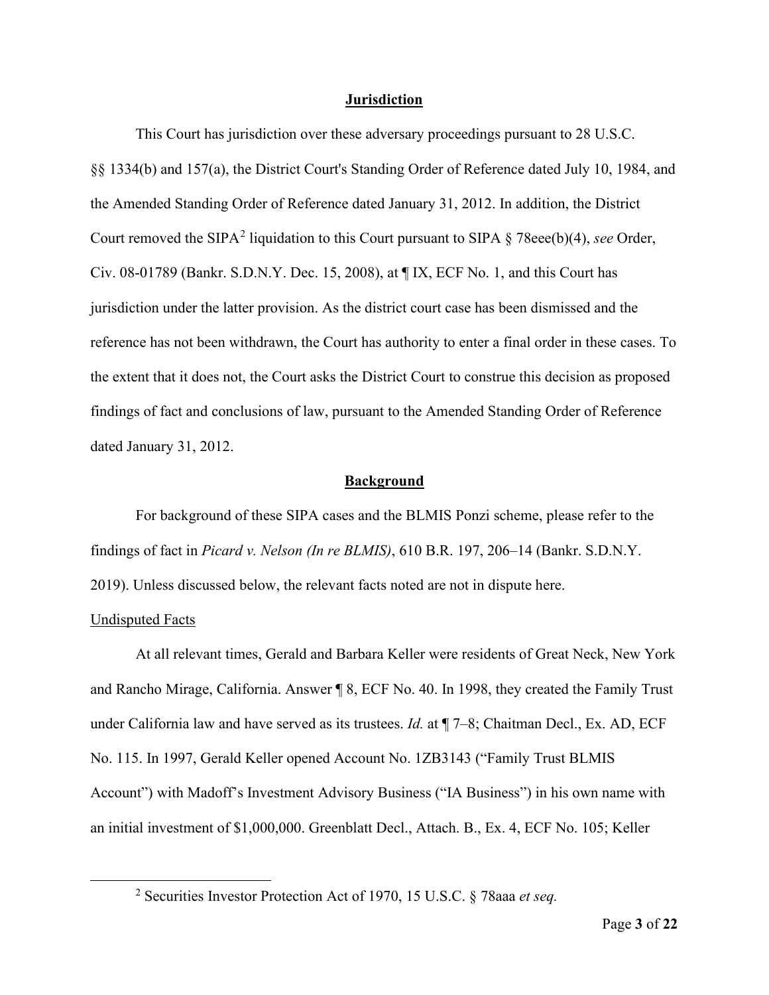#### **Jurisdiction**

This Court has jurisdiction over these adversary proceedings pursuant to 28 U.S.C. §§ 1334(b) and 157(a), the District Court's Standing Order of Reference dated July 10, 1984, and the Amended Standing Order of Reference dated January 31, 2012. In addition, the District Court removed the SIPA<sup>[2](#page-2-0)</sup> liquidation to this Court pursuant to SIPA § 78eee(b)(4), *see* Order, Civ. 08-01789 (Bankr. S.D.N.Y. Dec. 15, 2008), at ¶ IX, ECF No. 1, and this Court has jurisdiction under the latter provision. As the district court case has been dismissed and the reference has not been withdrawn, the Court has authority to enter a final order in these cases. To the extent that it does not, the Court asks the District Court to construe this decision as proposed findings of fact and conclusions of law, pursuant to the Amended Standing Order of Reference dated January 31, 2012.

#### **Background**

For background of these SIPA cases and the BLMIS Ponzi scheme, please refer to the findings of fact in *Picard v. Nelson (In re BLMIS)*, 610 B.R. 197, 206–14 (Bankr. S.D.N.Y. 2019). Unless discussed below, the relevant facts noted are not in dispute here.

## Undisputed Facts

At all relevant times, Gerald and Barbara Keller were residents of Great Neck, New York and Rancho Mirage, California. Answer ¶ 8, ECF No. 40. In 1998, they created the Family Trust under California law and have served as its trustees. *Id.* at ¶ 7–8; Chaitman Decl., Ex. AD, ECF No. 115. In 1997, Gerald Keller opened Account No. 1ZB3143 ("Family Trust BLMIS Account") with Madoff's Investment Advisory Business ("IA Business") in his own name with an initial investment of \$1,000,000. Greenblatt Decl., Attach. B., Ex. 4, ECF No. 105; Keller

<span id="page-2-0"></span><sup>2</sup> Securities Investor Protection Act of 1970, 15 U.S.C. § 78aaa *et seq.*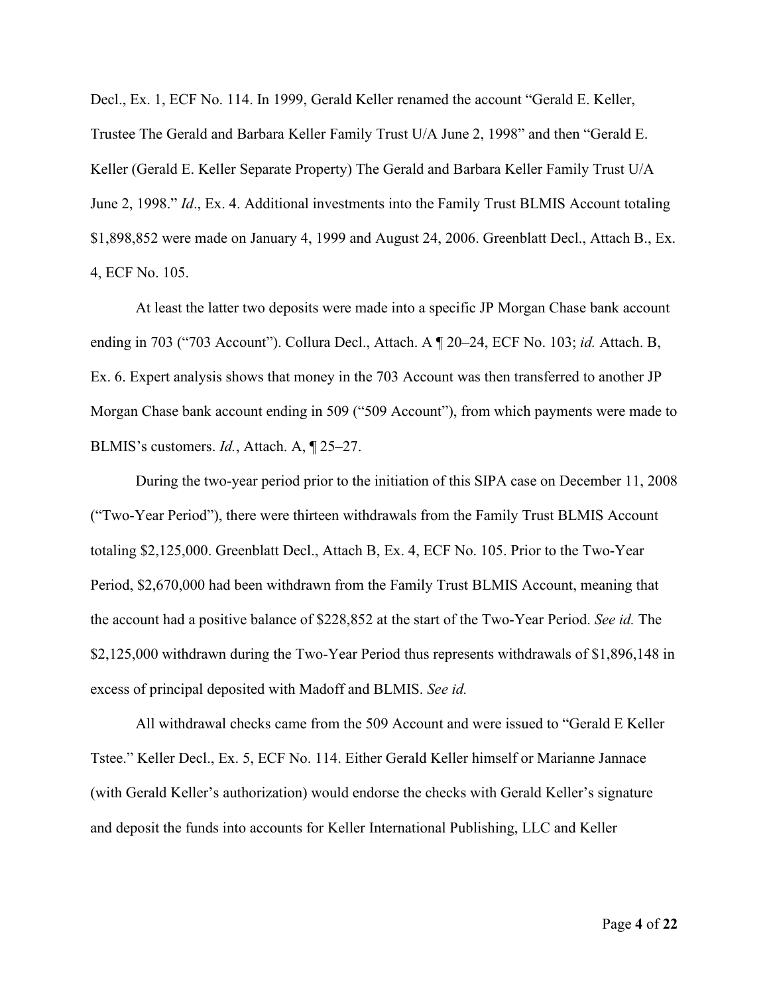Decl., Ex. 1, ECF No. 114. In 1999, Gerald Keller renamed the account "Gerald E. Keller, Trustee The Gerald and Barbara Keller Family Trust U/A June 2, 1998" and then "Gerald E. Keller (Gerald E. Keller Separate Property) The Gerald and Barbara Keller Family Trust U/A June 2, 1998." *Id*., Ex. 4. Additional investments into the Family Trust BLMIS Account totaling \$1,898,852 were made on January 4, 1999 and August 24, 2006. Greenblatt Decl., Attach B., Ex. 4, ECF No. 105.

At least the latter two deposits were made into a specific JP Morgan Chase bank account ending in 703 ("703 Account"). Collura Decl., Attach. A ¶ 20–24, ECF No. 103; *id.* Attach. B, Ex. 6. Expert analysis shows that money in the 703 Account was then transferred to another JP Morgan Chase bank account ending in 509 ("509 Account"), from which payments were made to BLMIS's customers. *Id.*, Attach. A, ¶ 25–27.

During the two-year period prior to the initiation of this SIPA case on December 11, 2008 ("Two-Year Period"), there were thirteen withdrawals from the Family Trust BLMIS Account totaling \$2,125,000. Greenblatt Decl., Attach B, Ex. 4, ECF No. 105. Prior to the Two-Year Period, \$2,670,000 had been withdrawn from the Family Trust BLMIS Account, meaning that the account had a positive balance of \$228,852 at the start of the Two-Year Period. *See id.* The \$2,125,000 withdrawn during the Two-Year Period thus represents withdrawals of \$1,896,148 in excess of principal deposited with Madoff and BLMIS. *See id.*

All withdrawal checks came from the 509 Account and were issued to "Gerald E Keller Tstee." Keller Decl., Ex. 5, ECF No. 114. Either Gerald Keller himself or Marianne Jannace (with Gerald Keller's authorization) would endorse the checks with Gerald Keller's signature and deposit the funds into accounts for Keller International Publishing, LLC and Keller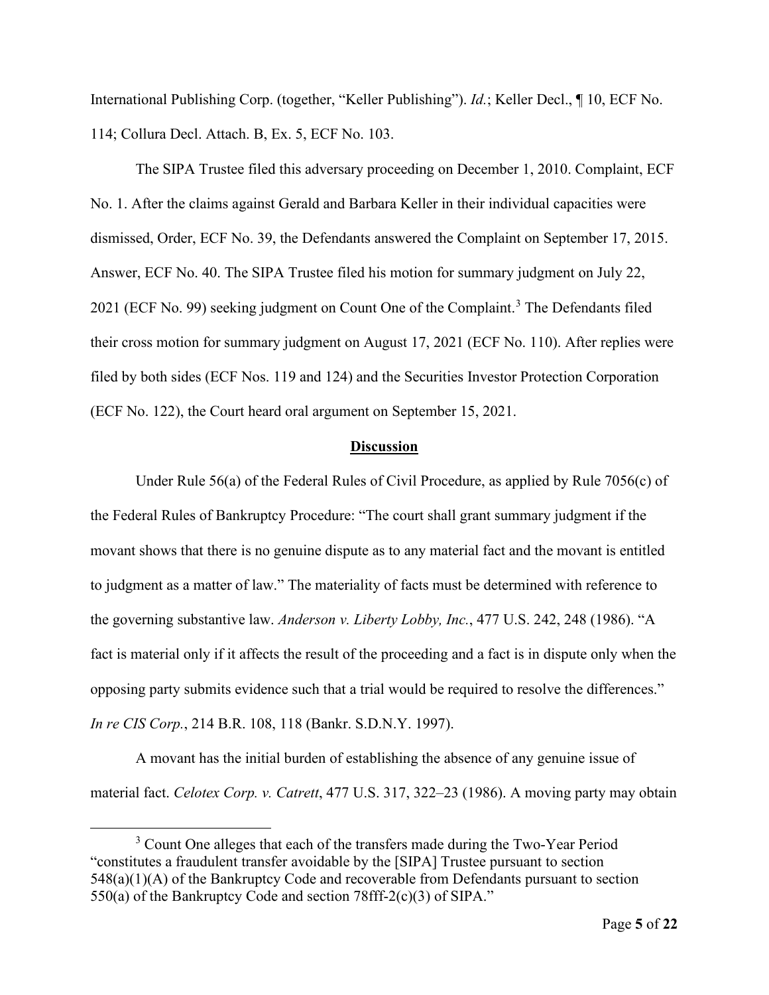International Publishing Corp. (together, "Keller Publishing"). *Id.*; Keller Decl., ¶ 10, ECF No. 114; Collura Decl. Attach. B, Ex. 5, ECF No. 103.

The SIPA Trustee filed this adversary proceeding on December 1, 2010. Complaint, ECF No. 1. After the claims against Gerald and Barbara Keller in their individual capacities were dismissed, Order, ECF No. 39, the Defendants answered the Complaint on September 17, 2015. Answer, ECF No. 40. The SIPA Trustee filed his motion for summary judgment on July 22, 2021 (ECF No. 99) seeking judgment on Count One of the Complaint.<sup>[3](#page-4-0)</sup> The Defendants filed their cross motion for summary judgment on August 17, 2021 (ECF No. 110). After replies were filed by both sides (ECF Nos. 119 and 124) and the Securities Investor Protection Corporation (ECF No. 122), the Court heard oral argument on September 15, 2021.

#### **Discussion**

Under Rule  $56(a)$  of the Federal Rules of Civil Procedure, as applied by Rule 7056(c) of the Federal Rules of Bankruptcy Procedure: "The court shall grant summary judgment if the movant shows that there is no genuine dispute as to any material fact and the movant is entitled to judgment as a matter of law." The materiality of facts must be determined with reference to the governing substantive law. *Anderson v. Liberty Lobby, Inc.*, 477 U.S. 242, 248 (1986). "A fact is material only if it affects the result of the proceeding and a fact is in dispute only when the opposing party submits evidence such that a trial would be required to resolve the differences." *In re CIS Corp.*, 214 B.R. 108, 118 (Bankr. S.D.N.Y. 1997).

A movant has the initial burden of establishing the absence of any genuine issue of material fact. *Celotex Corp. v. Catrett*, 477 U.S. 317, 322–23 (1986). A moving party may obtain

<span id="page-4-0"></span> $3$  Count One alleges that each of the transfers made during the Two-Year Period "constitutes a fraudulent transfer avoidable by the [SIPA] Trustee pursuant to section 548(a)(1)(A) of the Bankruptcy Code and recoverable from Defendants pursuant to section 550(a) of the Bankruptcy Code and section 78fff-2(c)(3) of SIPA."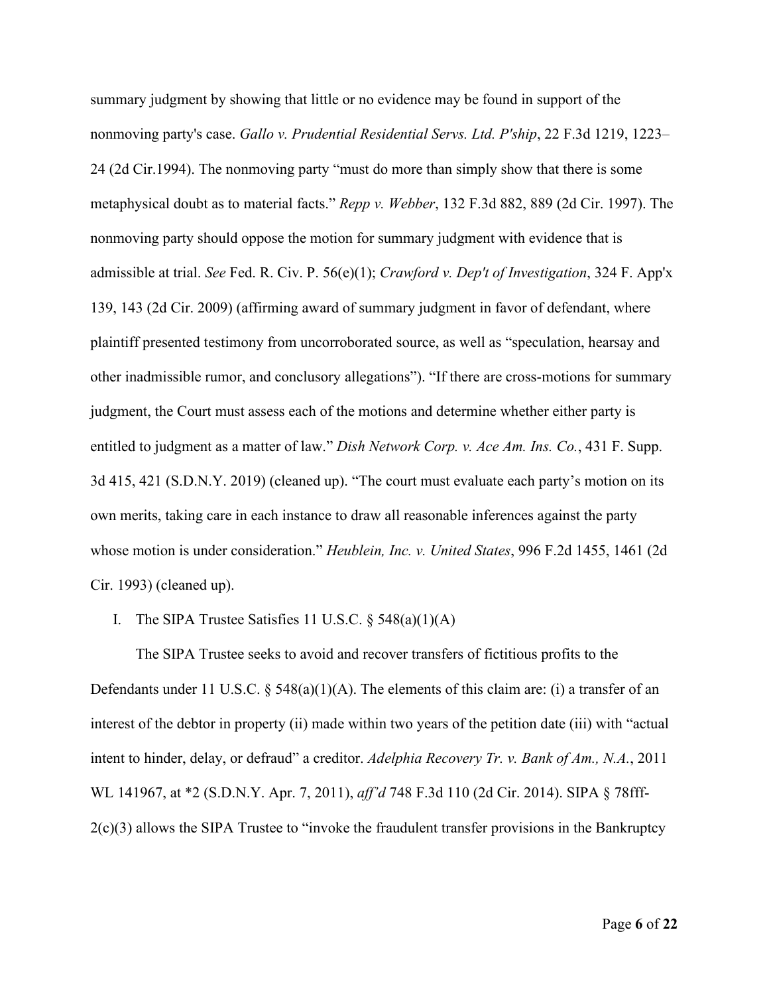summary judgment by showing that little or no evidence may be found in support of the nonmoving party's case. *Gallo v. Prudential Residential Servs. Ltd. P'ship*, 22 F.3d 1219, 1223– 24 (2d Cir.1994). The nonmoving party "must do more than simply show that there is some metaphysical doubt as to material facts." *Repp v. Webber*, 132 F.3d 882, 889 (2d Cir. 1997). The nonmoving party should oppose the motion for summary judgment with evidence that is admissible at trial. *See* Fed. R. Civ. P. 56(e)(1); *Crawford v. Dep't of Investigation*, 324 F. App'x 139, 143 (2d Cir. 2009) (affirming award of summary judgment in favor of defendant, where plaintiff presented testimony from uncorroborated source, as well as "speculation, hearsay and other inadmissible rumor, and conclusory allegations"). "If there are cross-motions for summary judgment, the Court must assess each of the motions and determine whether either party is entitled to judgment as a matter of law." *Dish Network Corp. v. Ace Am. Ins. Co.*, 431 F. Supp. 3d 415, 421 (S.D.N.Y. 2019) (cleaned up). "The court must evaluate each party's motion on its own merits, taking care in each instance to draw all reasonable inferences against the party whose motion is under consideration." *Heublein, Inc. v. United States*, 996 F.2d 1455, 1461 (2d Cir. 1993) (cleaned up).

I. The SIPA Trustee Satisfies 11 U.S.C.  $\S$  548(a)(1)(A)

The SIPA Trustee seeks to avoid and recover transfers of fictitious profits to the Defendants under 11 U.S.C. § 548(a)(1)(A). The elements of this claim are: (i) a transfer of an interest of the debtor in property (ii) made within two years of the petition date (iii) with "actual intent to hinder, delay, or defraud" a creditor. *Adelphia Recovery Tr. v. Bank of Am., N.A.*, 2011 WL 141967, at \*2 (S.D.N.Y. Apr. 7, 2011), *aff'd* 748 F.3d 110 (2d Cir. 2014). SIPA § 78fff-2(c)(3) allows the SIPA Trustee to "invoke the fraudulent transfer provisions in the Bankruptcy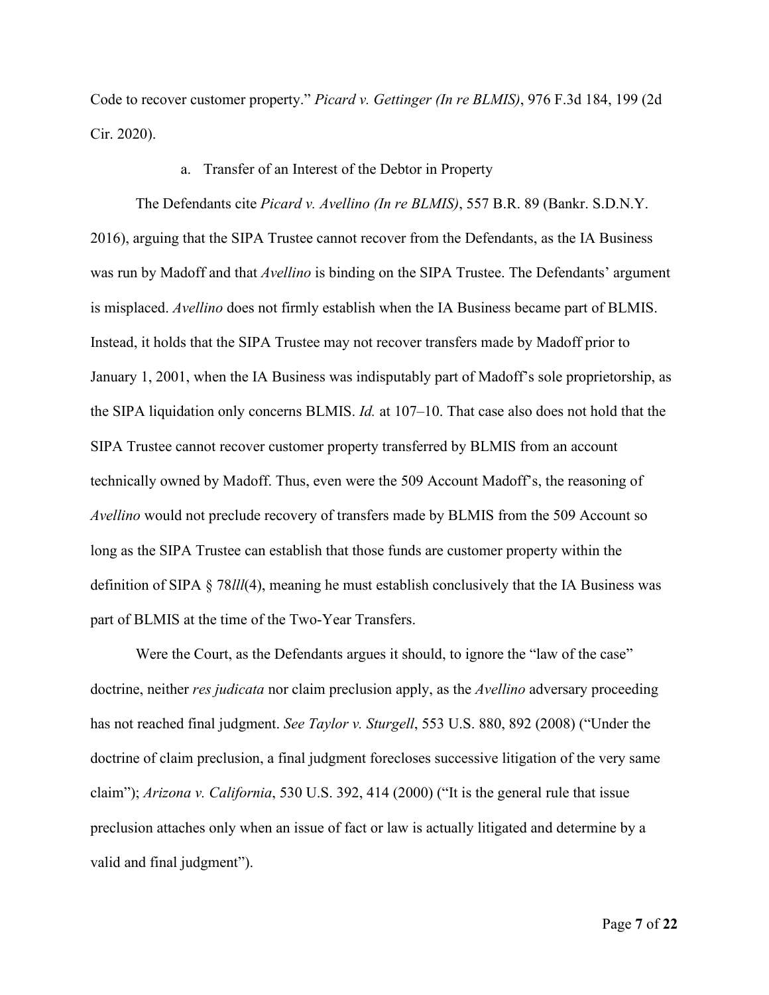Code to recover customer property." *Picard v. Gettinger (In re BLMIS)*, 976 F.3d 184, 199 (2d Cir. 2020).

### a. Transfer of an Interest of the Debtor in Property

The Defendants cite *Picard v. Avellino (In re BLMIS)*, 557 B.R. 89 (Bankr. S.D.N.Y. 2016), arguing that the SIPA Trustee cannot recover from the Defendants, as the IA Business was run by Madoff and that *Avellino* is binding on the SIPA Trustee. The Defendants' argument is misplaced. *Avellino* does not firmly establish when the IA Business became part of BLMIS. Instead, it holds that the SIPA Trustee may not recover transfers made by Madoff prior to January 1, 2001, when the IA Business was indisputably part of Madoff's sole proprietorship, as the SIPA liquidation only concerns BLMIS. *Id.* at 107–10. That case also does not hold that the SIPA Trustee cannot recover customer property transferred by BLMIS from an account technically owned by Madoff. Thus, even were the 509 Account Madoff's, the reasoning of *Avellino* would not preclude recovery of transfers made by BLMIS from the 509 Account so long as the SIPA Trustee can establish that those funds are customer property within the definition of SIPA § 78*lll*(4), meaning he must establish conclusively that the IA Business was part of BLMIS at the time of the Two-Year Transfers.

Were the Court, as the Defendants argues it should, to ignore the "law of the case" doctrine, neither *res judicata* nor claim preclusion apply, as the *Avellino* adversary proceeding has not reached final judgment. *See Taylor v. Sturgell*, 553 U.S. 880, 892 (2008) ("Under the doctrine of claim preclusion, a final judgment forecloses successive litigation of the very same claim"); *Arizona v. California*, 530 U.S. 392, 414 (2000) ("It is the general rule that issue preclusion attaches only when an issue of fact or law is actually litigated and determine by a valid and final judgment").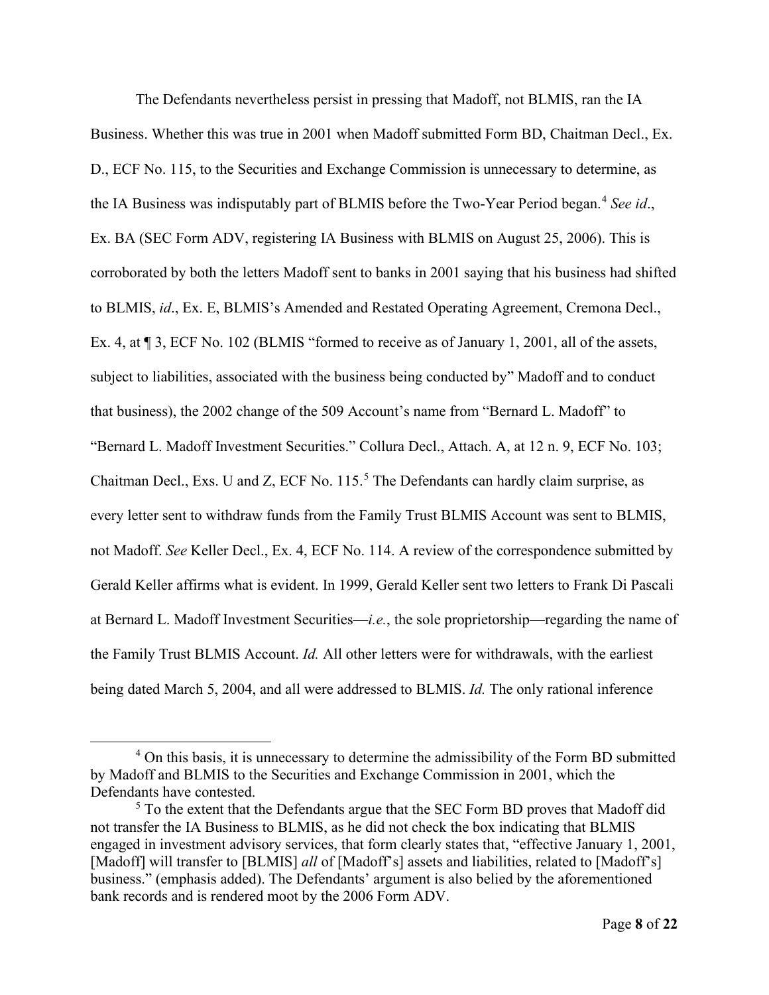The Defendants nevertheless persist in pressing that Madoff, not BLMIS, ran the IA Business. Whether this was true in 2001 when Madoff submitted Form BD, Chaitman Decl., Ex. D., ECF No. 115, to the Securities and Exchange Commission is unnecessary to determine, as the IA Business was indisputably part of BLMIS before the Two-Year Period began.<sup>[4](#page-7-0)</sup> See *id.*, Ex. BA (SEC Form ADV, registering IA Business with BLMIS on August 25, 2006). This is corroborated by both the letters Madoff sent to banks in 2001 saying that his business had shifted to BLMIS, *id*., Ex. E, BLMIS's Amended and Restated Operating Agreement, Cremona Decl., Ex. 4, at  $\sqrt{3}$ , ECF No. 102 (BLMIS "formed to receive as of January 1, 2001, all of the assets, subject to liabilities, associated with the business being conducted by" Madoff and to conduct that business), the 2002 change of the 509 Account's name from "Bernard L. Madoff" to "Bernard L. Madoff Investment Securities." Collura Decl., Attach. A, at 12 n. 9, ECF No. 103; Chaitman Decl., Exs. U and Z, ECF No. 115. [5](#page-7-1) The Defendants can hardly claim surprise, as every letter sent to withdraw funds from the Family Trust BLMIS Account was sent to BLMIS, not Madoff. *See* Keller Decl., Ex. 4, ECF No. 114. A review of the correspondence submitted by Gerald Keller affirms what is evident. In 1999, Gerald Keller sent two letters to Frank Di Pascali at Bernard L. Madoff Investment Securities—*i.e.*, the sole proprietorship—regarding the name of the Family Trust BLMIS Account. *Id.* All other letters were for withdrawals, with the earliest being dated March 5, 2004, and all were addressed to BLMIS. *Id.* The only rational inference

<span id="page-7-0"></span><sup>&</sup>lt;sup>4</sup> On this basis, it is unnecessary to determine the admissibility of the Form BD submitted by Madoff and BLMIS to the Securities and Exchange Commission in 2001, which the Defendants have contested.

<span id="page-7-1"></span><sup>&</sup>lt;sup>5</sup> To the extent that the Defendants argue that the SEC Form BD proves that Madoff did not transfer the IA Business to BLMIS, as he did not check the box indicating that BLMIS engaged in investment advisory services, that form clearly states that, "effective January 1, 2001, [Madoff] will transfer to [BLMIS] *all* of [Madoff's] assets and liabilities, related to [Madoff's] business." (emphasis added). The Defendants' argument is also belied by the aforementioned bank records and is rendered moot by the 2006 Form ADV.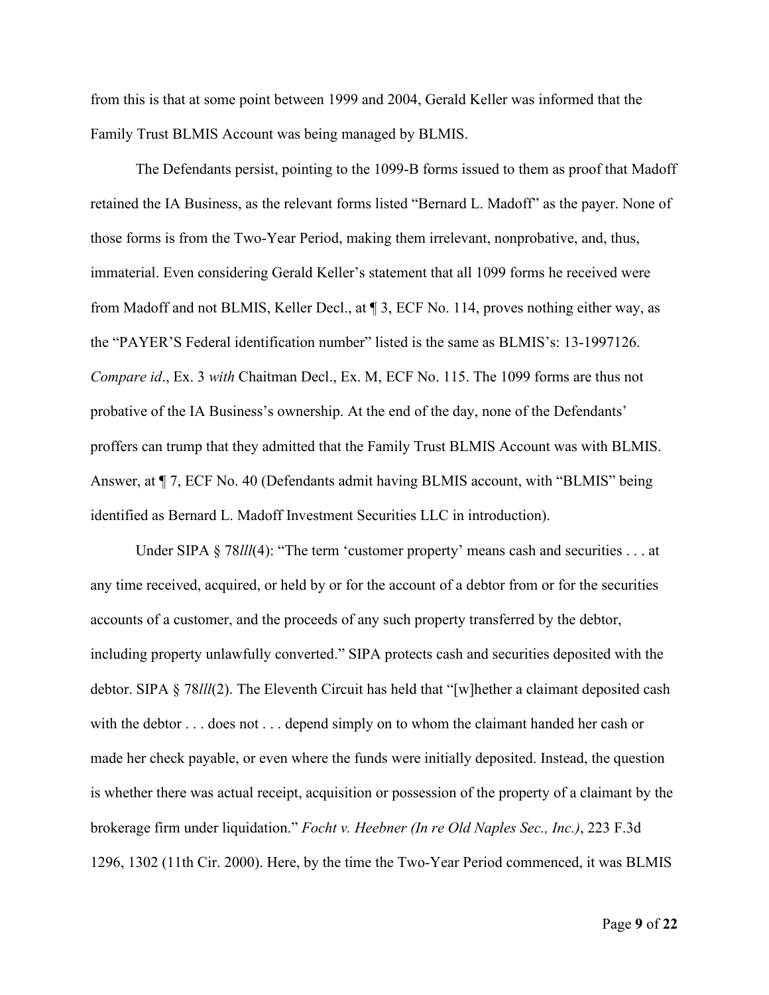from this is that at some point between 1999 and 2004, Gerald Keller was informed that the Family Trust BLMIS Account was being managed by BLMIS.

The Defendants persist, pointing to the 1099-B forms issued to them as proof that Madoff retained the IA Business, as the relevant forms listed "Bernard L. Madoff" as the payer. None of those forms is from the Two-Year Period, making them irrelevant, nonprobative, and, thus, immaterial. Even considering Gerald Keller's statement that all 1099 forms he received were from Madoff and not BLMIS, Keller Decl., at ¶ 3, ECF No. 114, proves nothing either way, as the "PAYER'S Federal identification number" listed is the same as BLMIS's: 13-1997126. *Compare id*., Ex. 3 *with* Chaitman Decl., Ex. M, ECF No. 115. The 1099 forms are thus not probative of the IA Business's ownership. At the end of the day, none of the Defendants' proffers can trump that they admitted that the Family Trust BLMIS Account was with BLMIS. Answer, at ¶ 7, ECF No. 40 (Defendants admit having BLMIS account, with "BLMIS" being identified as Bernard L. Madoff Investment Securities LLC in introduction).

Under SIPA § 78*lll*(4): "The term 'customer property' means cash and securities . . . at any time received, acquired, or held by or for the account of a debtor from or for the securities accounts of a customer, and the proceeds of any such property transferred by the debtor, including property unlawfully converted." SIPA protects cash and securities deposited with the debtor. SIPA § 78*lll*(2). The Eleventh Circuit has held that "[w]hether a claimant deposited cash with the debtor . . . does not . . . depend simply on to whom the claimant handed her cash or made her check payable, or even where the funds were initially deposited. Instead, the question is whether there was actual receipt, acquisition or possession of the property of a claimant by the brokerage firm under liquidation." *Focht v. Heebner (In re Old Naples Sec., Inc.)*, 223 F.3d 1296, 1302 (11th Cir. 2000). Here, by the time the Two-Year Period commenced, it was BLMIS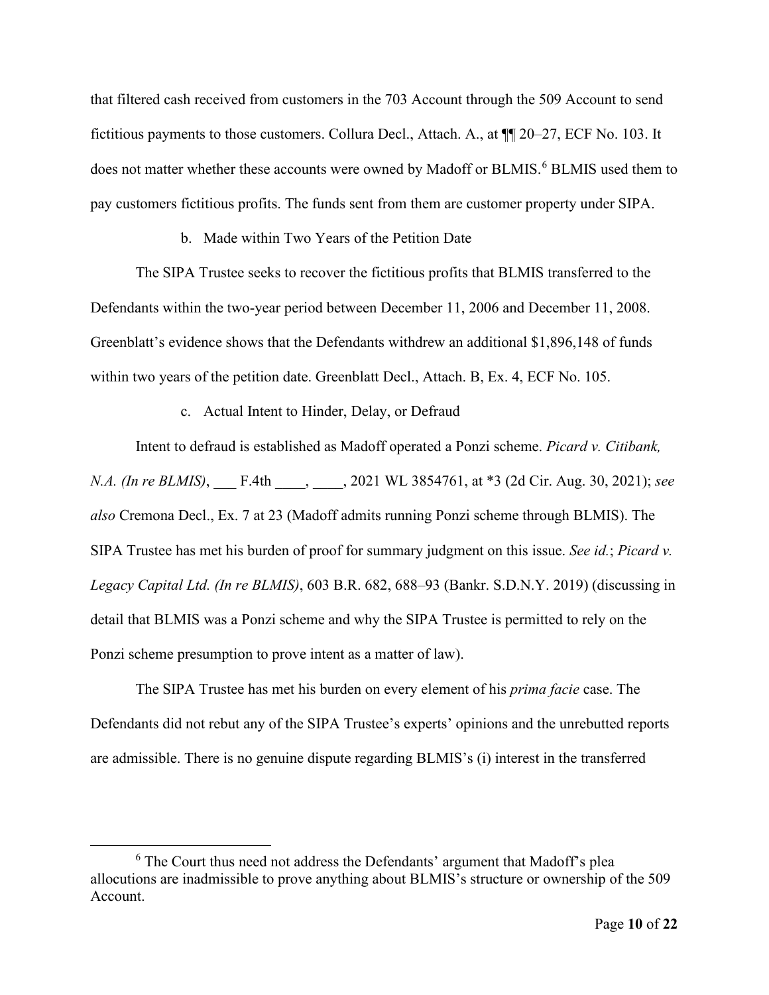that filtered cash received from customers in the 703 Account through the 509 Account to send fictitious payments to those customers. Collura Decl., Attach. A., at ¶¶ 20–27, ECF No. 103. It does not matter whether these accounts were owned by Madoff or BLMIS.<sup>[6](#page-9-0)</sup> BLMIS used them to pay customers fictitious profits. The funds sent from them are customer property under SIPA.

## b. Made within Two Years of the Petition Date

The SIPA Trustee seeks to recover the fictitious profits that BLMIS transferred to the Defendants within the two-year period between December 11, 2006 and December 11, 2008. Greenblatt's evidence shows that the Defendants withdrew an additional \$1,896,148 of funds within two years of the petition date. Greenblatt Decl., Attach. B, Ex. 4, ECF No. 105.

## c. Actual Intent to Hinder, Delay, or Defraud

Intent to defraud is established as Madoff operated a Ponzi scheme. *Picard v. Citibank, N.A. (In re BLMIS)*, \_\_\_ F.4th \_\_\_\_, \_\_\_\_, 2021 WL 3854761, at \*3 (2d Cir. Aug. 30, 2021); *see also* Cremona Decl., Ex. 7 at 23 (Madoff admits running Ponzi scheme through BLMIS). The SIPA Trustee has met his burden of proof for summary judgment on this issue. *See id.*; *Picard v. Legacy Capital Ltd. (In re BLMIS)*, 603 B.R. 682, 688–93 (Bankr. S.D.N.Y. 2019) (discussing in detail that BLMIS was a Ponzi scheme and why the SIPA Trustee is permitted to rely on the Ponzi scheme presumption to prove intent as a matter of law).

The SIPA Trustee has met his burden on every element of his *prima facie* case. The Defendants did not rebut any of the SIPA Trustee's experts' opinions and the unrebutted reports are admissible. There is no genuine dispute regarding BLMIS's (i) interest in the transferred

<span id="page-9-0"></span><sup>6</sup> The Court thus need not address the Defendants' argument that Madoff's plea allocutions are inadmissible to prove anything about BLMIS's structure or ownership of the 509 Account.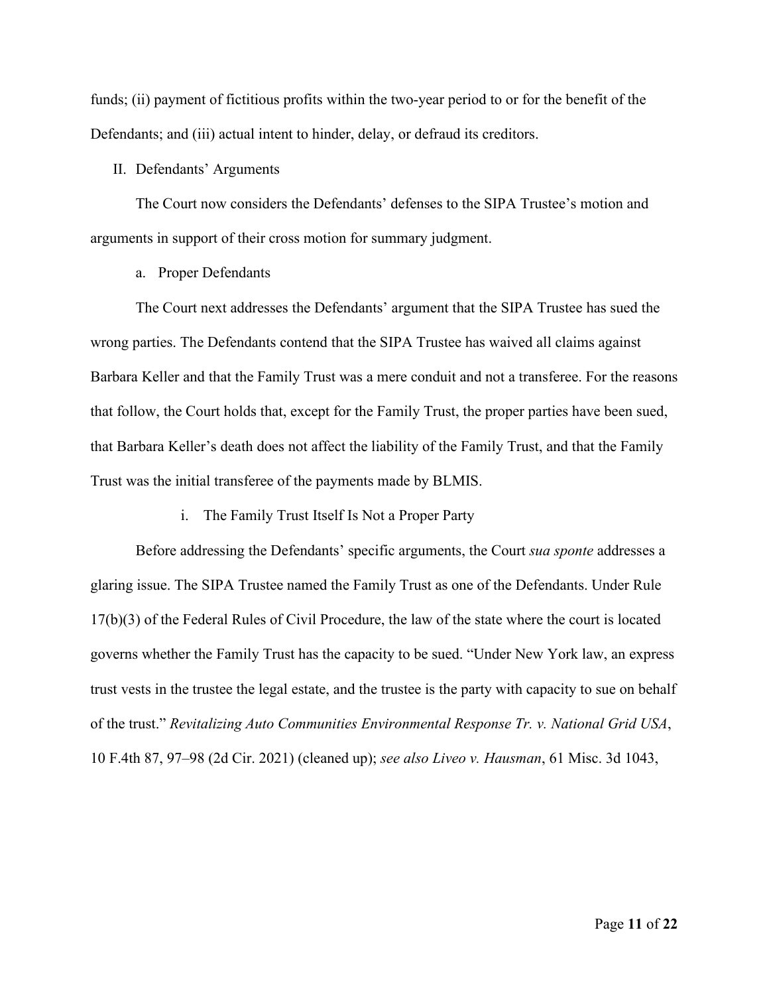funds; (ii) payment of fictitious profits within the two-year period to or for the benefit of the Defendants; and (iii) actual intent to hinder, delay, or defraud its creditors.

### II. Defendants' Arguments

The Court now considers the Defendants' defenses to the SIPA Trustee's motion and arguments in support of their cross motion for summary judgment.

a. Proper Defendants

The Court next addresses the Defendants' argument that the SIPA Trustee has sued the wrong parties. The Defendants contend that the SIPA Trustee has waived all claims against Barbara Keller and that the Family Trust was a mere conduit and not a transferee. For the reasons that follow, the Court holds that, except for the Family Trust, the proper parties have been sued, that Barbara Keller's death does not affect the liability of the Family Trust, and that the Family Trust was the initial transferee of the payments made by BLMIS.

i. The Family Trust Itself Is Not a Proper Party

Before addressing the Defendants' specific arguments, the Court *sua sponte* addresses a glaring issue. The SIPA Trustee named the Family Trust as one of the Defendants. Under Rule 17(b)(3) of the Federal Rules of Civil Procedure, the law of the state where the court is located governs whether the Family Trust has the capacity to be sued. "Under New York law, an express trust vests in the trustee the legal estate, and the trustee is the party with capacity to sue on behalf of the trust." *Revitalizing Auto Communities Environmental Response Tr. v. National Grid USA*, 10 F.4th 87, 97–98 (2d Cir. 2021) (cleaned up); *see also Liveo v. Hausman*, 61 Misc. 3d 1043,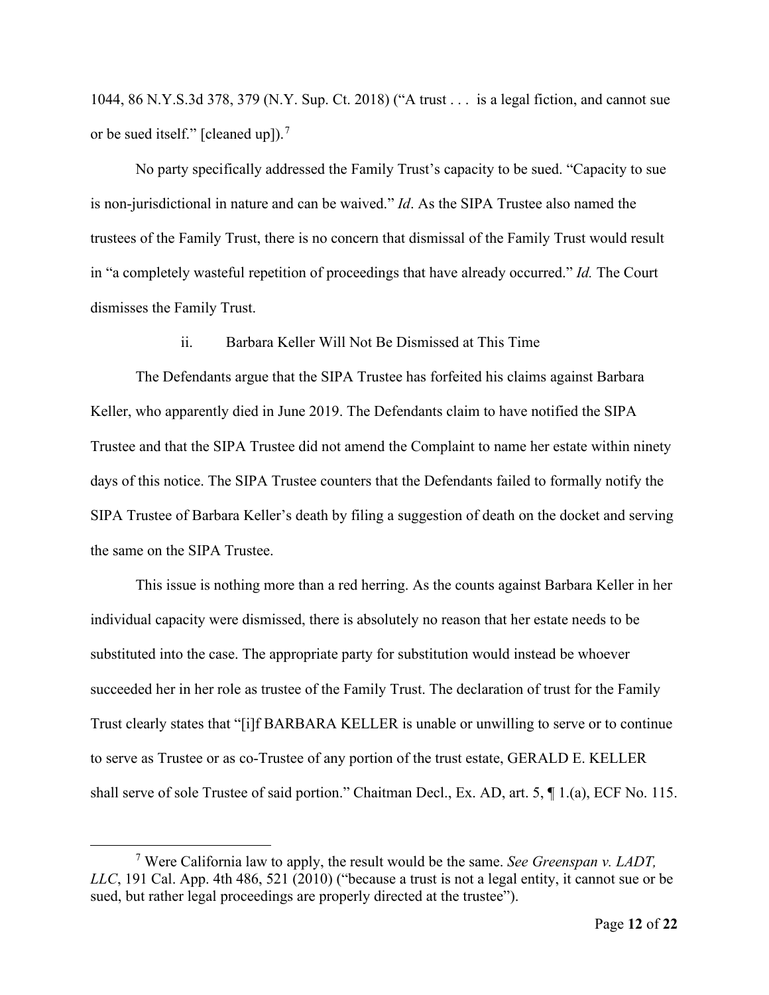1044, 86 N.Y.S.3d 378, 379 (N.Y. Sup. Ct. 2018) ("A trust . . . is a legal fiction, and cannot sue or be sued itself." [cleaned up]).<sup>[7](#page-11-0)</sup>

No party specifically addressed the Family Trust's capacity to be sued. "Capacity to sue is non-jurisdictional in nature and can be waived." *Id*. As the SIPA Trustee also named the trustees of the Family Trust, there is no concern that dismissal of the Family Trust would result in "a completely wasteful repetition of proceedings that have already occurred." *Id.* The Court dismisses the Family Trust.

ii. Barbara Keller Will Not Be Dismissed at This Time

The Defendants argue that the SIPA Trustee has forfeited his claims against Barbara Keller, who apparently died in June 2019. The Defendants claim to have notified the SIPA Trustee and that the SIPA Trustee did not amend the Complaint to name her estate within ninety days of this notice. The SIPA Trustee counters that the Defendants failed to formally notify the SIPA Trustee of Barbara Keller's death by filing a suggestion of death on the docket and serving the same on the SIPA Trustee.

This issue is nothing more than a red herring. As the counts against Barbara Keller in her individual capacity were dismissed, there is absolutely no reason that her estate needs to be substituted into the case. The appropriate party for substitution would instead be whoever succeeded her in her role as trustee of the Family Trust. The declaration of trust for the Family Trust clearly states that "[i]f BARBARA KELLER is unable or unwilling to serve or to continue to serve as Trustee or as co-Trustee of any portion of the trust estate, GERALD E. KELLER shall serve of sole Trustee of said portion." Chaitman Decl., Ex. AD, art. 5, ¶ 1.(a), ECF No. 115.

<span id="page-11-0"></span><sup>7</sup> Were California law to apply, the result would be the same. *See Greenspan v. LADT, LLC*, 191 Cal. App. 4th 486, 521 (2010) ("because a trust is not a legal entity, it cannot sue or be sued, but rather legal proceedings are properly directed at the trustee").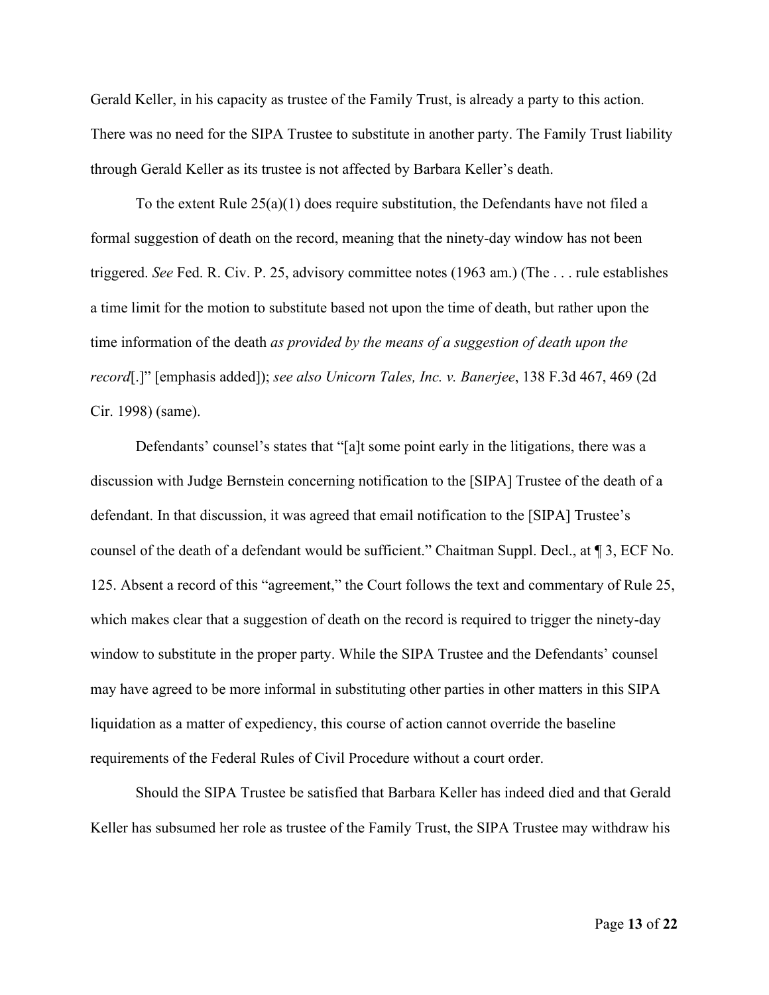Gerald Keller, in his capacity as trustee of the Family Trust, is already a party to this action. There was no need for the SIPA Trustee to substitute in another party. The Family Trust liability through Gerald Keller as its trustee is not affected by Barbara Keller's death.

To the extent Rule 25(a)(1) does require substitution, the Defendants have not filed a formal suggestion of death on the record, meaning that the ninety-day window has not been triggered. *See* Fed. R. Civ. P. 25, advisory committee notes (1963 am.) (The . . . rule establishes a time limit for the motion to substitute based not upon the time of death, but rather upon the time information of the death *as provided by the means of a suggestion of death upon the record*[.]" [emphasis added]); *see also Unicorn Tales, Inc. v. Banerjee*, 138 F.3d 467, 469 (2d Cir. 1998) (same).

Defendants' counsel's states that "[a]t some point early in the litigations, there was a discussion with Judge Bernstein concerning notification to the [SIPA] Trustee of the death of a defendant. In that discussion, it was agreed that email notification to the [SIPA] Trustee's counsel of the death of a defendant would be sufficient." Chaitman Suppl. Decl., at ¶ 3, ECF No. 125. Absent a record of this "agreement," the Court follows the text and commentary of Rule 25, which makes clear that a suggestion of death on the record is required to trigger the ninety-day window to substitute in the proper party. While the SIPA Trustee and the Defendants' counsel may have agreed to be more informal in substituting other parties in other matters in this SIPA liquidation as a matter of expediency, this course of action cannot override the baseline requirements of the Federal Rules of Civil Procedure without a court order.

Should the SIPA Trustee be satisfied that Barbara Keller has indeed died and that Gerald Keller has subsumed her role as trustee of the Family Trust, the SIPA Trustee may withdraw his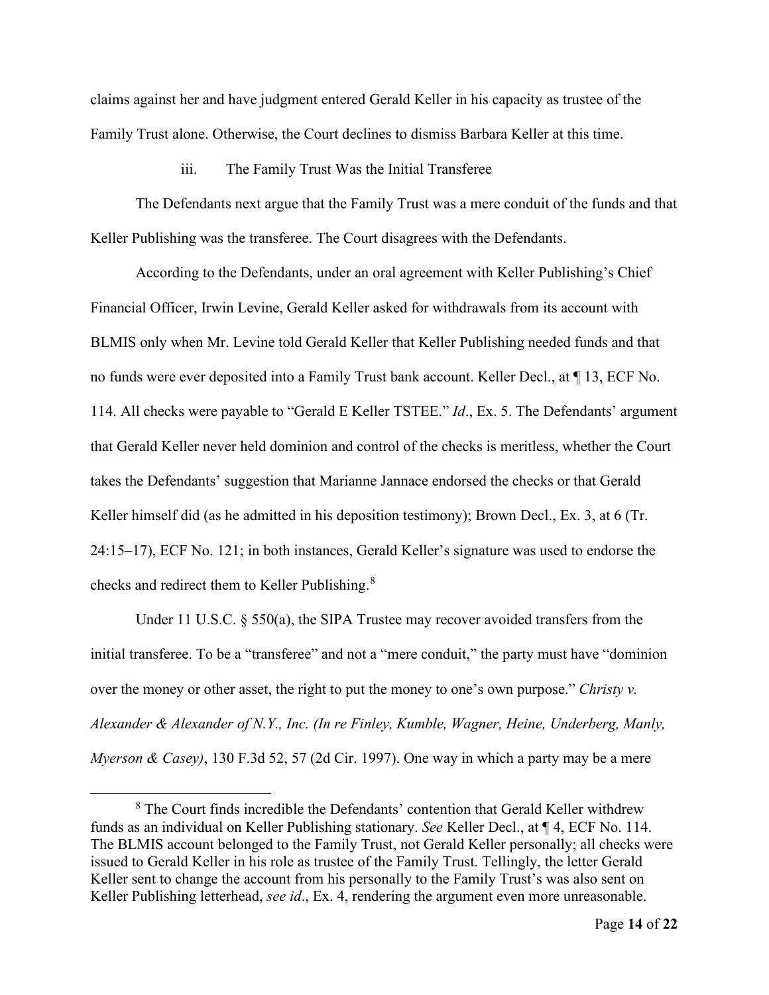claims against her and have judgment entered Gerald Keller in his capacity as trustee of the Family Trust alone. Otherwise, the Court declines to dismiss Barbara Keller at this time.

iii. The Family Trust Was the Initial Transferee

The Defendants next argue that the Family Trust was a mere conduit of the funds and that Keller Publishing was the transferee. The Court disagrees with the Defendants.

According to the Defendants, under an oral agreement with Keller Publishing's Chief Financial Officer, Irwin Levine, Gerald Keller asked for withdrawals from its account with BLMIS only when Mr. Levine told Gerald Keller that Keller Publishing needed funds and that no funds were ever deposited into a Family Trust bank account. Keller Decl., at ¶ 13, ECF No. 114. All checks were payable to "Gerald E Keller TSTEE." *Id*., Ex. 5. The Defendants' argument that Gerald Keller never held dominion and control of the checks is meritless, whether the Court takes the Defendants' suggestion that Marianne Jannace endorsed the checks or that Gerald Keller himself did (as he admitted in his deposition testimony); Brown Decl., Ex. 3, at 6 (Tr. 24:15–17), ECF No. 121; in both instances, Gerald Keller's signature was used to endorse the checks and redirect them to Keller Publishing.<sup>[8](#page-13-0)</sup>

Under 11 U.S.C.  $\S$  550(a), the SIPA Trustee may recover avoided transfers from the initial transferee. To be a "transferee" and not a "mere conduit," the party must have "dominion over the money or other asset, the right to put the money to one's own purpose." *Christy v. Alexander & Alexander of N.Y., Inc. (In re Finley, Kumble, Wagner, Heine, Underberg, Manly, Myerson & Casey)*, 130 F.3d 52, 57 (2d Cir. 1997). One way in which a party may be a mere

<span id="page-13-0"></span><sup>8</sup> The Court finds incredible the Defendants' contention that Gerald Keller withdrew funds as an individual on Keller Publishing stationary. *See* Keller Decl., at ¶ 4, ECF No. 114. The BLMIS account belonged to the Family Trust, not Gerald Keller personally; all checks were issued to Gerald Keller in his role as trustee of the Family Trust. Tellingly, the letter Gerald Keller sent to change the account from his personally to the Family Trust's was also sent on Keller Publishing letterhead, *see id*., Ex. 4, rendering the argument even more unreasonable.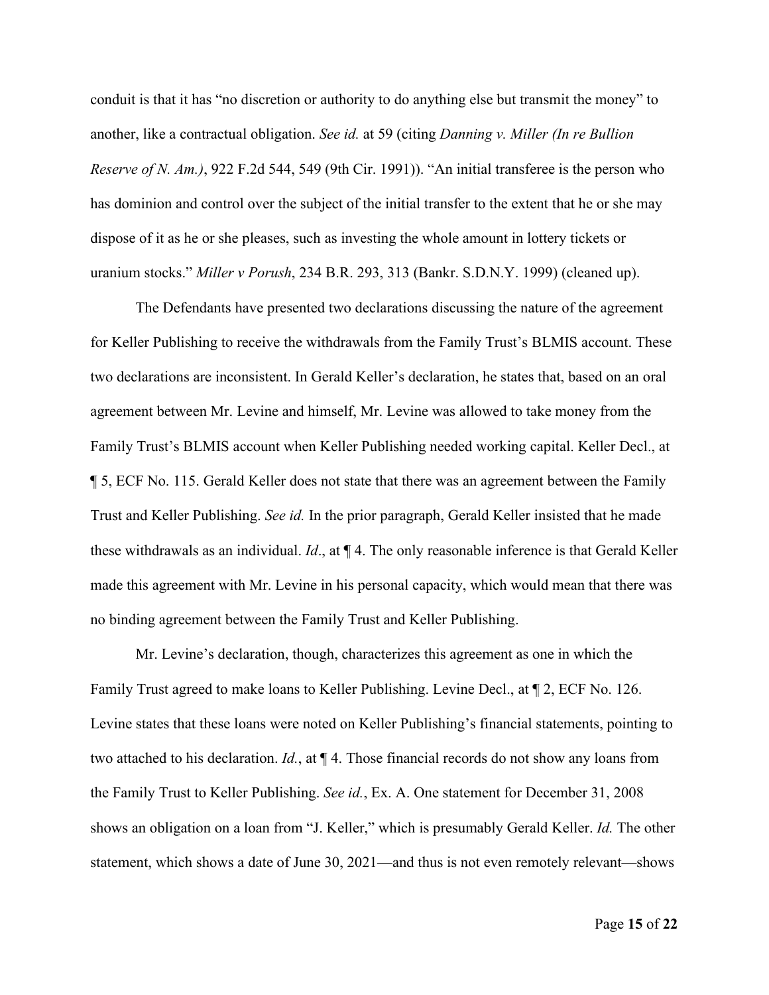conduit is that it has "no discretion or authority to do anything else but transmit the money" to another, like a contractual obligation. *See id.* at 59 (citing *Danning v. Miller (In re Bullion Reserve of N. Am.)*, 922 F.2d 544, 549 (9th Cir. 1991)). "An initial transferee is the person who has dominion and control over the subject of the initial transfer to the extent that he or she may dispose of it as he or she pleases, such as investing the whole amount in lottery tickets or uranium stocks." *Miller v Porush*, 234 B.R. 293, 313 (Bankr. S.D.N.Y. 1999) (cleaned up).

The Defendants have presented two declarations discussing the nature of the agreement for Keller Publishing to receive the withdrawals from the Family Trust's BLMIS account. These two declarations are inconsistent. In Gerald Keller's declaration, he states that, based on an oral agreement between Mr. Levine and himself, Mr. Levine was allowed to take money from the Family Trust's BLMIS account when Keller Publishing needed working capital. Keller Decl., at ¶ 5, ECF No. 115. Gerald Keller does not state that there was an agreement between the Family Trust and Keller Publishing. *See id.* In the prior paragraph, Gerald Keller insisted that he made these withdrawals as an individual. *Id*., at ¶ 4. The only reasonable inference is that Gerald Keller made this agreement with Mr. Levine in his personal capacity, which would mean that there was no binding agreement between the Family Trust and Keller Publishing.

Mr. Levine's declaration, though, characterizes this agreement as one in which the Family Trust agreed to make loans to Keller Publishing. Levine Decl., at ¶ 2, ECF No. 126. Levine states that these loans were noted on Keller Publishing's financial statements, pointing to two attached to his declaration. *Id.*, at ¶ 4. Those financial records do not show any loans from the Family Trust to Keller Publishing. *See id.*, Ex. A. One statement for December 31, 2008 shows an obligation on a loan from "J. Keller," which is presumably Gerald Keller. *Id.* The other statement, which shows a date of June 30, 2021—and thus is not even remotely relevant—shows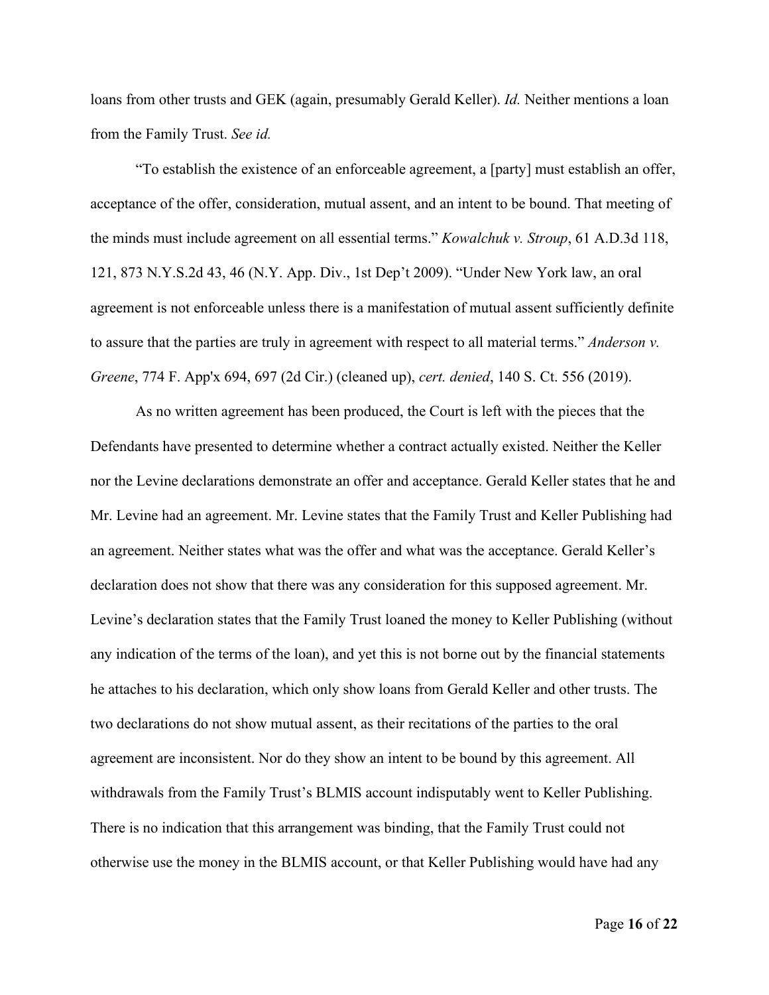loans from other trusts and GEK (again, presumably Gerald Keller). *Id.* Neither mentions a loan from the Family Trust. *See id.*

"To establish the existence of an enforceable agreement, a [party] must establish an offer, acceptance of the offer, consideration, mutual assent, and an intent to be bound. That meeting of the minds must include agreement on all essential terms." *Kowalchuk v. Stroup*, 61 A.D.3d 118, 121, 873 N.Y.S.2d 43, 46 (N.Y. App. Div., 1st Dep't 2009). "Under New York law, an oral agreement is not enforceable unless there is a manifestation of mutual assent sufficiently definite to assure that the parties are truly in agreement with respect to all material terms." *Anderson v. Greene*, 774 F. App'x 694, 697 (2d Cir.) (cleaned up), *cert. denied*, 140 S. Ct. 556 (2019).

As no written agreement has been produced, the Court is left with the pieces that the Defendants have presented to determine whether a contract actually existed. Neither the Keller nor the Levine declarations demonstrate an offer and acceptance. Gerald Keller states that he and Mr. Levine had an agreement. Mr. Levine states that the Family Trust and Keller Publishing had an agreement. Neither states what was the offer and what was the acceptance. Gerald Keller's declaration does not show that there was any consideration for this supposed agreement. Mr. Levine's declaration states that the Family Trust loaned the money to Keller Publishing (without any indication of the terms of the loan), and yet this is not borne out by the financial statements he attaches to his declaration, which only show loans from Gerald Keller and other trusts. The two declarations do not show mutual assent, as their recitations of the parties to the oral agreement are inconsistent. Nor do they show an intent to be bound by this agreement. All withdrawals from the Family Trust's BLMIS account indisputably went to Keller Publishing. There is no indication that this arrangement was binding, that the Family Trust could not otherwise use the money in the BLMIS account, or that Keller Publishing would have had any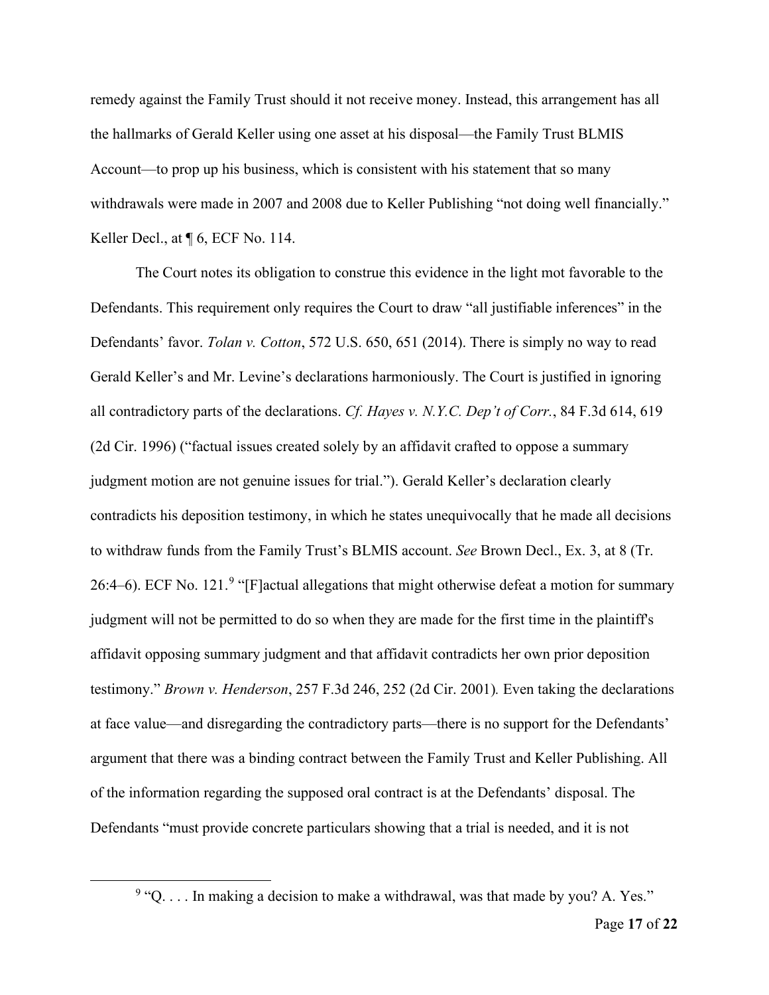remedy against the Family Trust should it not receive money. Instead, this arrangement has all the hallmarks of Gerald Keller using one asset at his disposal—the Family Trust BLMIS Account—to prop up his business, which is consistent with his statement that so many withdrawals were made in 2007 and 2008 due to Keller Publishing "not doing well financially." Keller Decl., at  $\P$  6, ECF No. 114.

The Court notes its obligation to construe this evidence in the light mot favorable to the Defendants. This requirement only requires the Court to draw "all justifiable inferences" in the Defendants' favor. *Tolan v. Cotton*, 572 U.S. 650, 651 (2014). There is simply no way to read Gerald Keller's and Mr. Levine's declarations harmoniously. The Court is justified in ignoring all contradictory parts of the declarations. *Cf. Hayes v. N.Y.C. Dep't of Corr.*, 84 F.3d 614, 619 (2d Cir. 1996) ("factual issues created solely by an affidavit crafted to oppose a summary judgment motion are not genuine issues for trial."). Gerald Keller's declaration clearly contradicts his deposition testimony, in which he states unequivocally that he made all decisions to withdraw funds from the Family Trust's BLMIS account. *See* Brown Decl., Ex. 3, at 8 (Tr. 26:4–6). ECF No. 121.<sup>[9](#page-16-0)</sup> "[F]actual allegations that might otherwise defeat a motion for summary judgment will not be permitted to do so when they are made for the first time in the plaintiff's affidavit opposing summary judgment and that affidavit contradicts her own prior deposition testimony." *Brown v. Henderson*, 257 F.3d 246, 252 (2d Cir. 2001)*.* Even taking the declarations at face value—and disregarding the contradictory parts—there is no support for the Defendants' argument that there was a binding contract between the Family Trust and Keller Publishing. All of the information regarding the supposed oral contract is at the Defendants' disposal. The Defendants "must provide concrete particulars showing that a trial is needed, and it is not

<span id="page-16-0"></span> $9$  "Q.... In making a decision to make a withdrawal, was that made by you? A. Yes."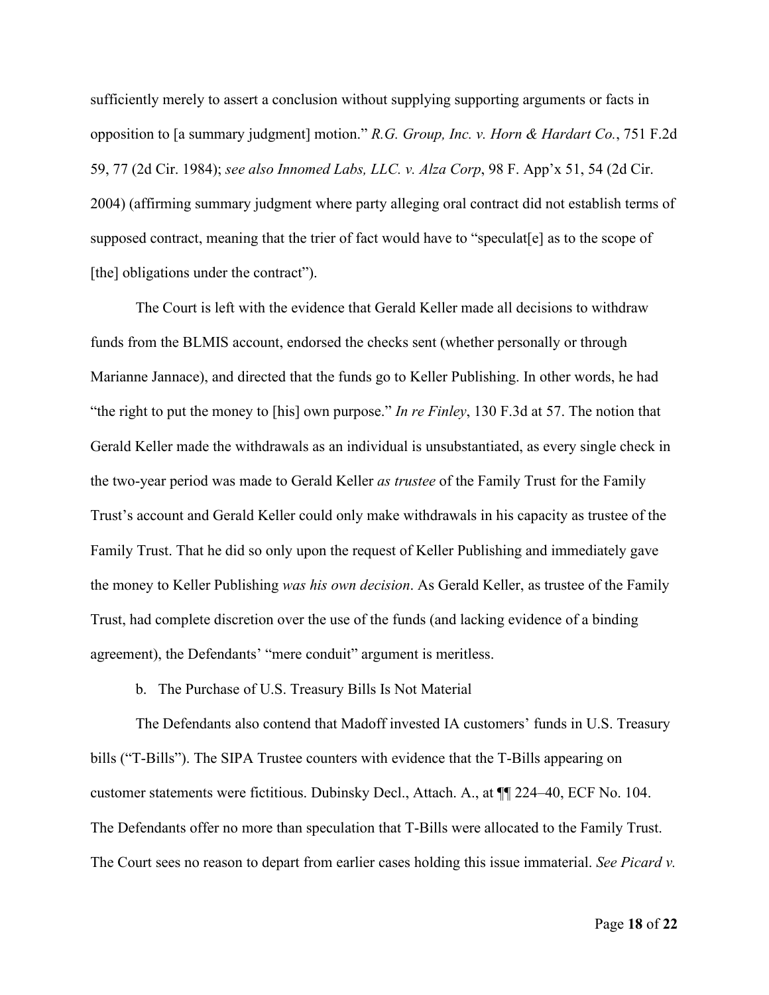sufficiently merely to assert a conclusion without supplying supporting arguments or facts in opposition to [a summary judgment] motion." *R.G. Group, Inc. v. Horn & Hardart Co.*, 751 F.2d 59, 77 (2d Cir. 1984); *see also Innomed Labs, LLC. v. Alza Corp*, 98 F. App'x 51, 54 (2d Cir. 2004) (affirming summary judgment where party alleging oral contract did not establish terms of supposed contract, meaning that the trier of fact would have to "speculat[e] as to the scope of [the] obligations under the contract".

The Court is left with the evidence that Gerald Keller made all decisions to withdraw funds from the BLMIS account, endorsed the checks sent (whether personally or through Marianne Jannace), and directed that the funds go to Keller Publishing. In other words, he had "the right to put the money to [his] own purpose." *In re Finley*, 130 F.3d at 57. The notion that Gerald Keller made the withdrawals as an individual is unsubstantiated, as every single check in the two-year period was made to Gerald Keller *as trustee* of the Family Trust for the Family Trust's account and Gerald Keller could only make withdrawals in his capacity as trustee of the Family Trust. That he did so only upon the request of Keller Publishing and immediately gave the money to Keller Publishing *was his own decision*. As Gerald Keller, as trustee of the Family Trust, had complete discretion over the use of the funds (and lacking evidence of a binding agreement), the Defendants' "mere conduit" argument is meritless.

b. The Purchase of U.S. Treasury Bills Is Not Material

The Defendants also contend that Madoff invested IA customers' funds in U.S. Treasury bills ("T-Bills"). The SIPA Trustee counters with evidence that the T-Bills appearing on customer statements were fictitious. Dubinsky Decl., Attach. A., at ¶¶ 224–40, ECF No. 104. The Defendants offer no more than speculation that T-Bills were allocated to the Family Trust. The Court sees no reason to depart from earlier cases holding this issue immaterial. *See Picard v.*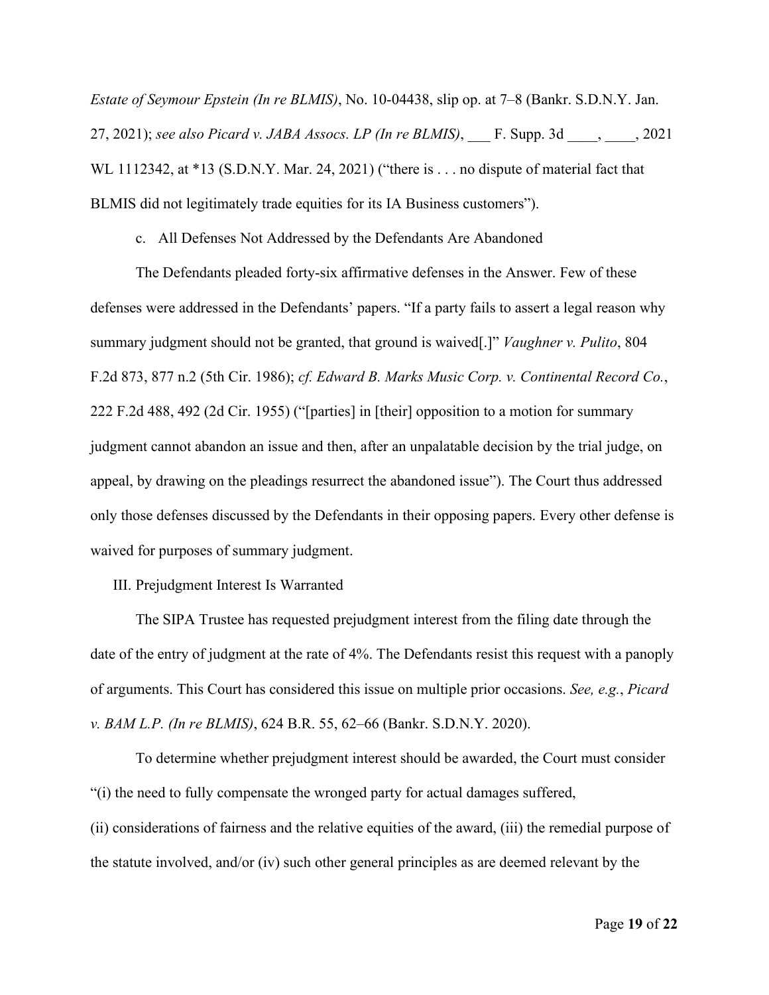*Estate of Seymour Epstein (In re BLMIS)*, No. 10-04438, slip op. at 7–8 (Bankr. S.D.N.Y. Jan. 27, 2021); *see also Picard v. JABA Assocs. LP (In re BLMIS)*, \_\_\_ F. Supp. 3d \_\_\_\_, \_\_\_\_, 2021 WL 1112342, at \*13 (S.D.N.Y. Mar. 24, 2021) ("there is . . . no dispute of material fact that BLMIS did not legitimately trade equities for its IA Business customers").

c. All Defenses Not Addressed by the Defendants Are Abandoned

The Defendants pleaded forty-six affirmative defenses in the Answer. Few of these defenses were addressed in the Defendants' papers. "If a party fails to assert a legal reason why summary judgment should not be granted, that ground is waived[.]" *Vaughner v. Pulito*, 804 F.2d 873, 877 n.2 (5th Cir. 1986); *cf. Edward B. Marks Music Corp. v. Continental Record Co.*, 222 F.2d 488, 492 (2d Cir. 1955) ("[parties] in [their] opposition to a motion for summary judgment cannot abandon an issue and then, after an unpalatable decision by the trial judge, on appeal, by drawing on the pleadings resurrect the abandoned issue"). The Court thus addressed only those defenses discussed by the Defendants in their opposing papers. Every other defense is waived for purposes of summary judgment.

III. Prejudgment Interest Is Warranted

The SIPA Trustee has requested prejudgment interest from the filing date through the date of the entry of judgment at the rate of 4%. The Defendants resist this request with a panoply of arguments. This Court has considered this issue on multiple prior occasions. *See, e.g.*, *Picard v. BAM L.P. (In re BLMIS)*, 624 B.R. 55, 62–66 (Bankr. S.D.N.Y. 2020).

To determine whether prejudgment interest should be awarded, the Court must consider "(i) the need to fully compensate the wronged party for actual damages suffered,

(ii) considerations of fairness and the relative equities of the award, (iii) the remedial purpose of the statute involved, and/or (iv) such other general principles as are deemed relevant by the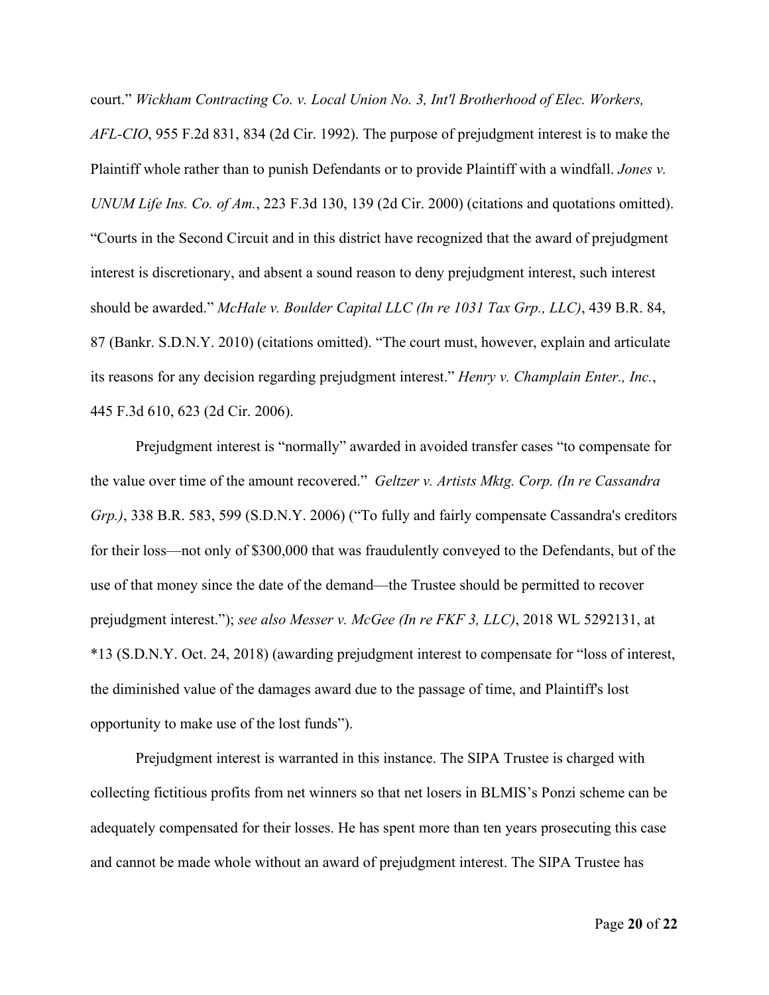court." *Wickham Contracting Co. v. Local Union No. 3, Int'l Brotherhood of Elec. Workers, AFL-CIO*, 955 F.2d 831, 834 (2d Cir. 1992). The purpose of prejudgment interest is to make the Plaintiff whole rather than to punish Defendants or to provide Plaintiff with a windfall. *Jones v. UNUM Life Ins. Co. of Am.*, 223 F.3d 130, 139 (2d Cir. 2000) (citations and quotations omitted). "Courts in the Second Circuit and in this district have recognized that the award of prejudgment interest is discretionary, and absent a sound reason to deny prejudgment interest, such interest should be awarded." *McHale v. Boulder Capital LLC (In re 1031 Tax Grp., LLC)*, 439 B.R. 84, 87 (Bankr. S.D.N.Y. 2010) (citations omitted). "The court must, however, explain and articulate its reasons for any decision regarding prejudgment interest." *Henry v. Champlain Enter., Inc.*, 445 F.3d 610, 623 (2d Cir. 2006).

Prejudgment interest is "normally" awarded in avoided transfer cases "to compensate for the value over time of the amount recovered." *Geltzer v. Artists Mktg. Corp. (In re Cassandra Grp.)*, 338 B.R. 583, 599 (S.D.N.Y. 2006) ("To fully and fairly compensate Cassandra's creditors for their loss—not only of \$300,000 that was fraudulently conveyed to the Defendants, but of the use of that money since the date of the demand—the Trustee should be permitted to recover prejudgment interest."); *see also Messer v. McGee (In re FKF 3, LLC)*, 2018 WL 5292131, at \*13 (S.D.N.Y. Oct. 24, 2018) (awarding prejudgment interest to compensate for "loss of interest, the diminished value of the damages award due to the passage of time, and Plaintiff's lost opportunity to make use of the lost funds").

Prejudgment interest is warranted in this instance. The SIPA Trustee is charged with collecting fictitious profits from net winners so that net losers in BLMIS's Ponzi scheme can be adequately compensated for their losses. He has spent more than ten years prosecuting this case and cannot be made whole without an award of prejudgment interest. The SIPA Trustee has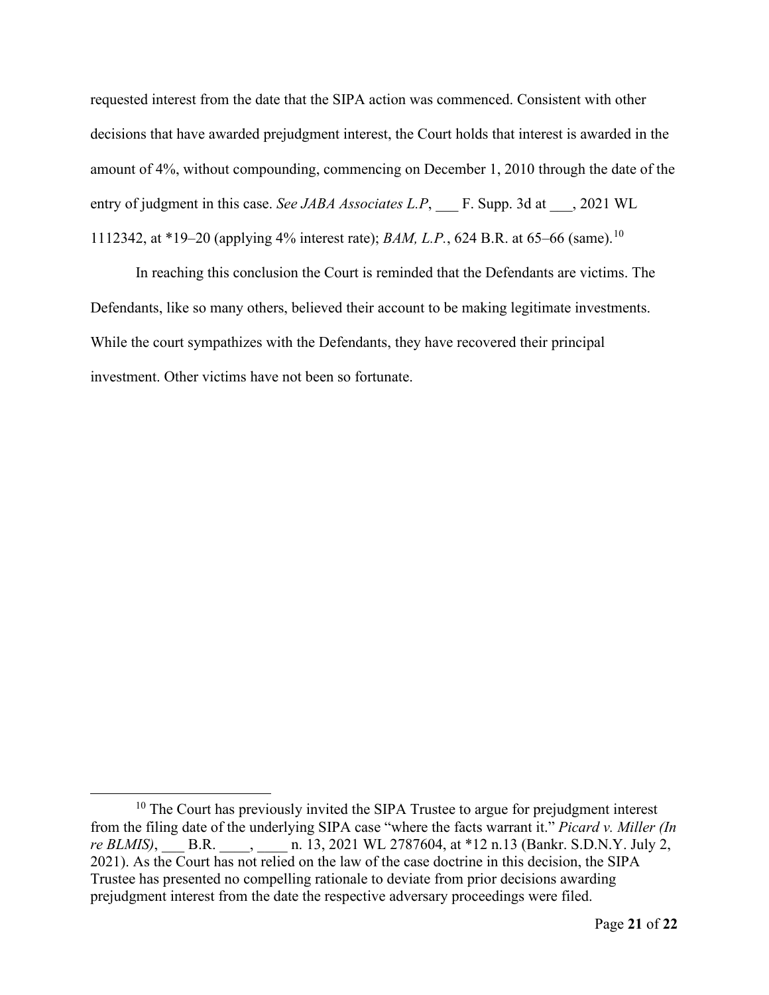requested interest from the date that the SIPA action was commenced. Consistent with other decisions that have awarded prejudgment interest, the Court holds that interest is awarded in the amount of 4%, without compounding, commencing on December 1, 2010 through the date of the entry of judgment in this case. *See JABA Associates L.P*, F. Supp. 3d at  $\qquad$ , 2021 WL 1112342, at \*19–20 (applying 4% interest rate); *BAM, L.P.*, 624 B.R. at 65–66 (same).[10](#page-20-0)

In reaching this conclusion the Court is reminded that the Defendants are victims. The Defendants, like so many others, believed their account to be making legitimate investments. While the court sympathizes with the Defendants, they have recovered their principal investment. Other victims have not been so fortunate.

<span id="page-20-0"></span> $10$  The Court has previously invited the SIPA Trustee to argue for prejudgment interest from the filing date of the underlying SIPA case "where the facts warrant it." *Picard v. Miller (In re BLMIS*), \_\_\_ B.R. \_\_\_\_, \_\_\_\_ n. 13, 2021 WL 2787604, at \*12 n.13 (Bankr. S.D.N.Y. July 2, 2021). As the Court has not relied on the law of the case doctrine in this decision, the SIPA Trustee has presented no compelling rationale to deviate from prior decisions awarding prejudgment interest from the date the respective adversary proceedings were filed.